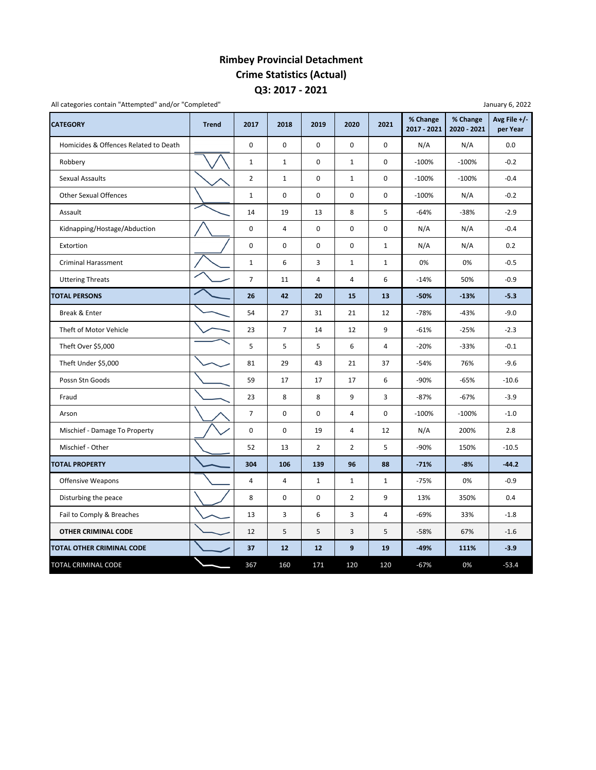## **Q3: 2017 ‐ 2021 Rimbey Provincial Detachment Crime Statistics (Actual)**

| <b>CATEGORY</b>                       | <b>Trend</b> | 2017           | 2018           | 2019           | 2020           | 2021         | % Change<br>2017 - 2021 | % Change<br>2020 - 2021 | Avg File $+/-$<br>per Year |
|---------------------------------------|--------------|----------------|----------------|----------------|----------------|--------------|-------------------------|-------------------------|----------------------------|
| Homicides & Offences Related to Death |              | 0              | $\mathbf 0$    | $\mathbf 0$    | $\pmb{0}$      | 0            | N/A                     | N/A                     | 0.0                        |
| Robbery                               |              | $\mathbf 1$    | $\mathbf{1}$   | $\mathbf 0$    | $\mathbf 1$    | 0            | $-100%$                 | $-100%$                 | $-0.2$                     |
| Sexual Assaults                       |              | $\overline{2}$ | $\mathbf{1}$   | $\mathbf 0$    | $\mathbf{1}$   | 0            | $-100%$                 | $-100%$                 | $-0.4$                     |
| <b>Other Sexual Offences</b>          |              | $\mathbf{1}$   | 0              | 0              | $\pmb{0}$      | 0            | $-100%$                 | N/A                     | $-0.2$                     |
| Assault                               |              | 14             | 19             | 13             | 8              | 5            | $-64%$                  | $-38%$                  | $-2.9$                     |
| Kidnapping/Hostage/Abduction          |              | 0              | 4              | $\pmb{0}$      | 0              | 0            | N/A                     | N/A                     | $-0.4$                     |
| Extortion                             |              | 0              | 0              | $\mathbf 0$    | 0              | $\mathbf{1}$ | N/A                     | N/A                     | 0.2                        |
| Criminal Harassment                   |              | $\mathbf{1}$   | 6              | 3              | $\mathbf{1}$   | $\mathbf{1}$ | 0%                      | 0%                      | $-0.5$                     |
| <b>Uttering Threats</b>               |              | $\overline{7}$ | 11             | 4              | 4              | 6            | $-14%$                  | 50%                     | $-0.9$                     |
| <b>TOTAL PERSONS</b>                  |              | 26             | 42             | 20             | 15             | 13           | $-50%$                  | $-13%$                  | $-5.3$                     |
| Break & Enter                         |              | 54             | 27             | 31             | 21             | 12           | $-78%$                  | $-43%$                  | $-9.0$                     |
| Theft of Motor Vehicle                |              | 23             | $\overline{7}$ | 14             | 12             | 9            | $-61%$                  | $-25%$                  | $-2.3$                     |
| Theft Over \$5,000                    |              | 5              | 5              | 5              | 6              | 4            | $-20%$                  | $-33%$                  | $-0.1$                     |
| Theft Under \$5,000                   |              | 81             | 29             | 43             | 21             | 37           | $-54%$                  | 76%                     | $-9.6$                     |
| Possn Stn Goods                       |              | 59             | 17             | 17             | 17             | 6            | $-90%$                  | $-65%$                  | $-10.6$                    |
| Fraud                                 |              | 23             | 8              | 8              | 9              | 3            | $-87%$                  | $-67%$                  | $-3.9$                     |
| Arson                                 |              | $\overline{7}$ | 0              | $\mathbf 0$    | 4              | 0            | $-100%$                 | $-100%$                 | $-1.0$                     |
| Mischief - Damage To Property         |              | 0              | $\mathbf 0$    | 19             | 4              | 12           | N/A                     | 200%                    | 2.8                        |
| Mischief - Other                      |              | 52             | 13             | $\overline{2}$ | $\overline{2}$ | 5            | $-90%$                  | 150%                    | $-10.5$                    |
| <b>TOTAL PROPERTY</b>                 |              | 304            | 106            | 139            | 96             | 88           | $-71%$                  | $-8%$                   | $-44.2$                    |
| Offensive Weapons                     |              | 4              | 4              | $\mathbf{1}$   | $\mathbf{1}$   | $\mathbf{1}$ | $-75%$                  | 0%                      | $-0.9$                     |
| Disturbing the peace                  |              | 8              | 0              | $\pmb{0}$      | $\overline{2}$ | 9            | 13%                     | 350%                    | 0.4                        |
| Fail to Comply & Breaches             |              | 13             | 3              | 6              | 3              | 4            | $-69%$                  | 33%                     | $-1.8$                     |
| OTHER CRIMINAL CODE                   |              | 12             | 5              | 5              | 3              | 5            | $-58%$                  | 67%                     | $-1.6$                     |
| <b>TOTAL OTHER CRIMINAL CODE</b>      |              | 37             | 12             | 12             | 9              | 19           | $-49%$                  | 111%                    | $-3.9$                     |
| TOTAL CRIMINAL CODE                   |              | 367            | 160            | 171            | 120            | 120          | $-67%$                  | 0%                      | $-53.4$                    |